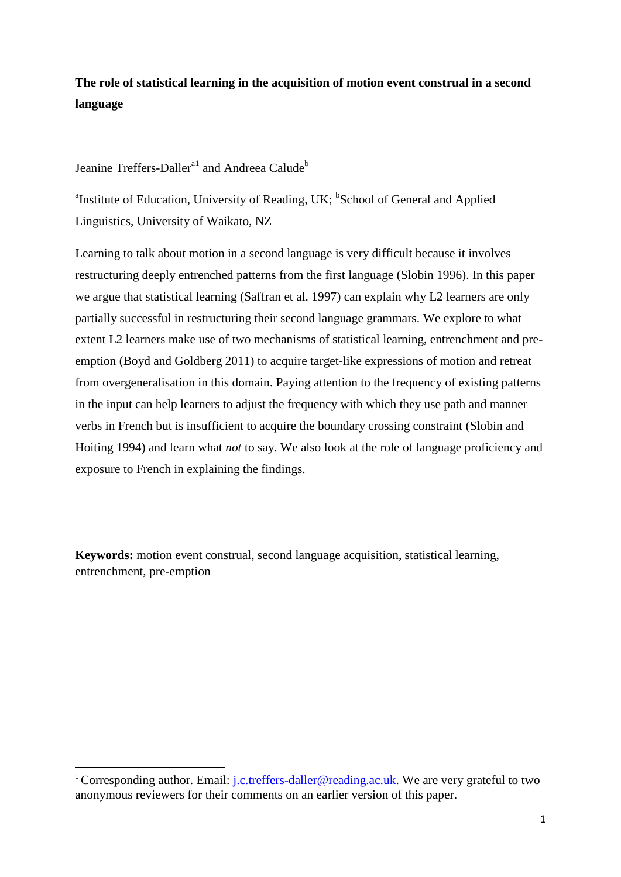# **The role of statistical learning in the acquisition of motion event construal in a second language**

Jeanine Treffers-Daller<sup>a1</sup> and Andreea Calude<sup>b</sup>

 $\overline{a}$ 

<sup>a</sup>Institute of Education, University of Reading, UK; <sup>b</sup>School of General and Applied Linguistics, University of Waikato, NZ

Learning to talk about motion in a second language is very difficult because it involves restructuring deeply entrenched patterns from the first language (Slobin 1996). In this paper we argue that statistical learning (Saffran et al. 1997) can explain why L2 learners are only partially successful in restructuring their second language grammars. We explore to what extent L2 learners make use of two mechanisms of statistical learning, entrenchment and preemption (Boyd and Goldberg 2011) to acquire target-like expressions of motion and retreat from overgeneralisation in this domain. Paying attention to the frequency of existing patterns in the input can help learners to adjust the frequency with which they use path and manner verbs in French but is insufficient to acquire the boundary crossing constraint (Slobin and Hoiting 1994) and learn what *not* to say. We also look at the role of language proficiency and exposure to French in explaining the findings.

**Keywords:** motion event construal, second language acquisition, statistical learning, entrenchment, pre-emption

<sup>&</sup>lt;sup>1</sup> Corresponding author. Email: *j.c.treffers-daller@reading.ac.uk.* We are very grateful to two anonymous reviewers for their comments on an earlier version of this paper.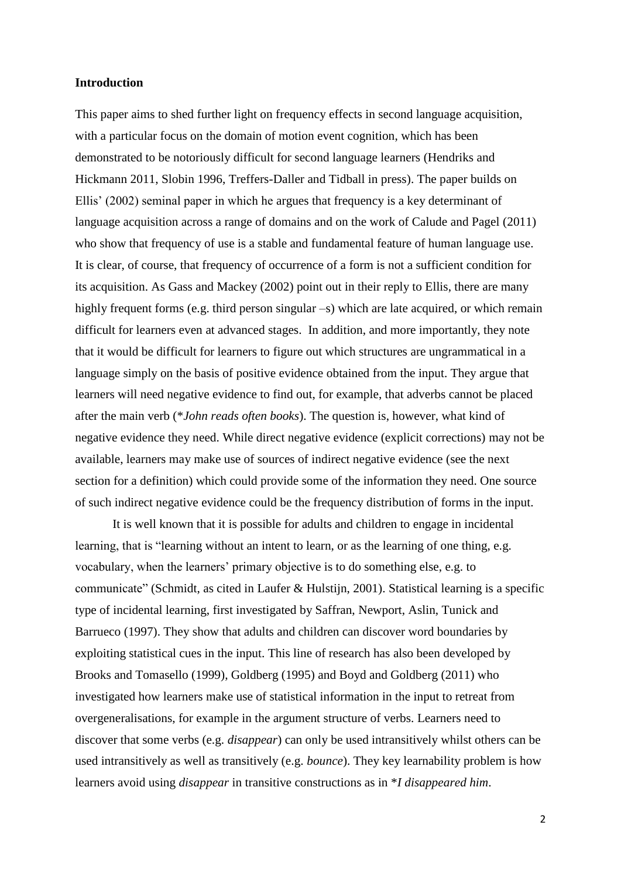#### **Introduction**

This paper aims to shed further light on frequency effects in second language acquisition, with a particular focus on the domain of motion event cognition, which has been demonstrated to be notoriously difficult for second language learners (Hendriks and Hickmann 2011, Slobin 1996, Treffers-Daller and Tidball in press). The paper builds on Ellis' (2002) seminal paper in which he argues that frequency is a key determinant of language acquisition across a range of domains and on the work of Calude and Pagel (2011) who show that frequency of use is a stable and fundamental feature of human language use. It is clear, of course, that frequency of occurrence of a form is not a sufficient condition for its acquisition. As Gass and Mackey (2002) point out in their reply to Ellis, there are many highly frequent forms (e.g. third person singular –s) which are late acquired, or which remain difficult for learners even at advanced stages. In addition, and more importantly, they note that it would be difficult for learners to figure out which structures are ungrammatical in a language simply on the basis of positive evidence obtained from the input. They argue that learners will need negative evidence to find out, for example, that adverbs cannot be placed after the main verb (\**John reads often books*). The question is, however, what kind of negative evidence they need. While direct negative evidence (explicit corrections) may not be available, learners may make use of sources of indirect negative evidence (see the next section for a definition) which could provide some of the information they need. One source of such indirect negative evidence could be the frequency distribution of forms in the input.

It is well known that it is possible for adults and children to engage in incidental learning, that is "learning without an intent to learn, or as the learning of one thing, e.g. vocabulary, when the learners' primary objective is to do something else, e.g. to communicate" (Schmidt, as cited in Laufer & Hulstijn, 2001). Statistical learning is a specific type of incidental learning, first investigated by Saffran, Newport, Aslin, Tunick and Barrueco (1997). They show that adults and children can discover word boundaries by exploiting statistical cues in the input. This line of research has also been developed by Brooks and Tomasello (1999), Goldberg (1995) and Boyd and Goldberg (2011) who investigated how learners make use of statistical information in the input to retreat from overgeneralisations, for example in the argument structure of verbs. Learners need to discover that some verbs (e.g. *disappear*) can only be used intransitively whilst others can be used intransitively as well as transitively (e.g. *bounce*). They key learnability problem is how learners avoid using *disappear* in transitive constructions as in \**I disappeared him*.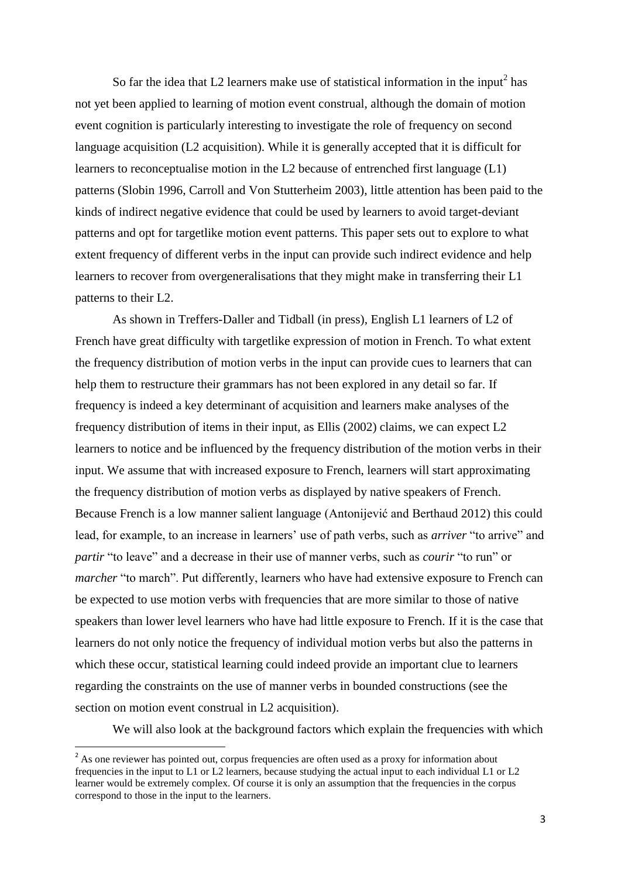So far the idea that L2 learners make use of statistical information in the input<sup>2</sup> has not yet been applied to learning of motion event construal, although the domain of motion event cognition is particularly interesting to investigate the role of frequency on second language acquisition (L2 acquisition). While it is generally accepted that it is difficult for learners to reconceptualise motion in the L2 because of entrenched first language (L1) patterns (Slobin 1996, Carroll and Von Stutterheim 2003), little attention has been paid to the kinds of indirect negative evidence that could be used by learners to avoid target-deviant patterns and opt for targetlike motion event patterns. This paper sets out to explore to what extent frequency of different verbs in the input can provide such indirect evidence and help learners to recover from overgeneralisations that they might make in transferring their L1 patterns to their L2.

As shown in Treffers-Daller and Tidball (in press), English L1 learners of L2 of French have great difficulty with targetlike expression of motion in French. To what extent the frequency distribution of motion verbs in the input can provide cues to learners that can help them to restructure their grammars has not been explored in any detail so far. If frequency is indeed a key determinant of acquisition and learners make analyses of the frequency distribution of items in their input, as Ellis (2002) claims, we can expect L2 learners to notice and be influenced by the frequency distribution of the motion verbs in their input. We assume that with increased exposure to French, learners will start approximating the frequency distribution of motion verbs as displayed by native speakers of French. Because French is a low manner salient language (Antonijević and Berthaud 2012) this could lead, for example, to an increase in learners' use of path verbs, such as *arriver* "to arrive" and *partir* "to leave" and a decrease in their use of manner verbs, such as *courir* "to run" or *marcher* "to march". Put differently, learners who have had extensive exposure to French can be expected to use motion verbs with frequencies that are more similar to those of native speakers than lower level learners who have had little exposure to French. If it is the case that learners do not only notice the frequency of individual motion verbs but also the patterns in which these occur, statistical learning could indeed provide an important clue to learners regarding the constraints on the use of manner verbs in bounded constructions (see the section on motion event construal in L2 acquisition).

We will also look at the background factors which explain the frequencies with which

**.** 

<sup>&</sup>lt;sup>2</sup> As one reviewer has pointed out, corpus frequencies are often used as a proxy for information about frequencies in the input to L1 or L2 learners, because studying the actual input to each individual L1 or L2 learner would be extremely complex. Of course it is only an assumption that the frequencies in the corpus correspond to those in the input to the learners.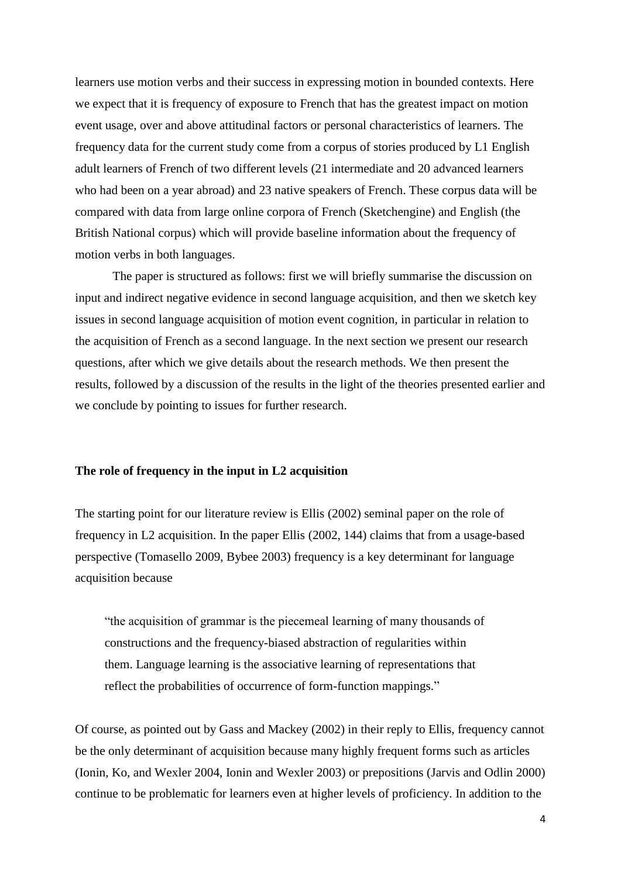learners use motion verbs and their success in expressing motion in bounded contexts. Here we expect that it is frequency of exposure to French that has the greatest impact on motion event usage, over and above attitudinal factors or personal characteristics of learners. The frequency data for the current study come from a corpus of stories produced by L1 English adult learners of French of two different levels (21 intermediate and 20 advanced learners who had been on a year abroad) and 23 native speakers of French. These corpus data will be compared with data from large online corpora of French (Sketchengine) and English (the British National corpus) which will provide baseline information about the frequency of motion verbs in both languages.

The paper is structured as follows: first we will briefly summarise the discussion on input and indirect negative evidence in second language acquisition, and then we sketch key issues in second language acquisition of motion event cognition, in particular in relation to the acquisition of French as a second language. In the next section we present our research questions, after which we give details about the research methods. We then present the results, followed by a discussion of the results in the light of the theories presented earlier and we conclude by pointing to issues for further research.

#### **The role of frequency in the input in L2 acquisition**

The starting point for our literature review is Ellis (2002) seminal paper on the role of frequency in L2 acquisition. In the paper Ellis (2002, 144) claims that from a usage-based perspective (Tomasello 2009, Bybee 2003) frequency is a key determinant for language acquisition because

"the acquisition of grammar is the piecemeal learning of many thousands of constructions and the frequency-biased abstraction of regularities within them. Language learning is the associative learning of representations that reflect the probabilities of occurrence of form-function mappings."

Of course, as pointed out by Gass and Mackey (2002) in their reply to Ellis, frequency cannot be the only determinant of acquisition because many highly frequent forms such as articles (Ionin, Ko, and Wexler 2004, Ionin and Wexler 2003) or prepositions (Jarvis and Odlin 2000) continue to be problematic for learners even at higher levels of proficiency. In addition to the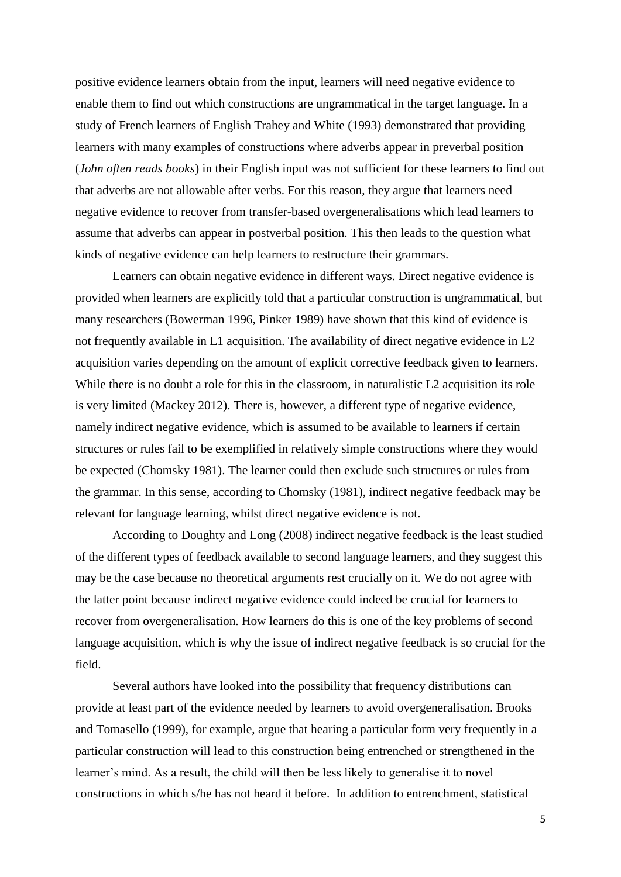positive evidence learners obtain from the input, learners will need negative evidence to enable them to find out which constructions are ungrammatical in the target language. In a study of French learners of English Trahey and White (1993) demonstrated that providing learners with many examples of constructions where adverbs appear in preverbal position (*John often reads books*) in their English input was not sufficient for these learners to find out that adverbs are not allowable after verbs. For this reason, they argue that learners need negative evidence to recover from transfer-based overgeneralisations which lead learners to assume that adverbs can appear in postverbal position. This then leads to the question what kinds of negative evidence can help learners to restructure their grammars.

Learners can obtain negative evidence in different ways. Direct negative evidence is provided when learners are explicitly told that a particular construction is ungrammatical, but many researchers (Bowerman 1996, Pinker 1989) have shown that this kind of evidence is not frequently available in L1 acquisition. The availability of direct negative evidence in L2 acquisition varies depending on the amount of explicit corrective feedback given to learners. While there is no doubt a role for this in the classroom, in naturalistic L2 acquisition its role is very limited (Mackey 2012). There is, however, a different type of negative evidence, namely indirect negative evidence, which is assumed to be available to learners if certain structures or rules fail to be exemplified in relatively simple constructions where they would be expected (Chomsky 1981). The learner could then exclude such structures or rules from the grammar. In this sense, according to Chomsky (1981), indirect negative feedback may be relevant for language learning, whilst direct negative evidence is not.

According to Doughty and Long (2008) indirect negative feedback is the least studied of the different types of feedback available to second language learners, and they suggest this may be the case because no theoretical arguments rest crucially on it. We do not agree with the latter point because indirect negative evidence could indeed be crucial for learners to recover from overgeneralisation. How learners do this is one of the key problems of second language acquisition, which is why the issue of indirect negative feedback is so crucial for the field.

Several authors have looked into the possibility that frequency distributions can provide at least part of the evidence needed by learners to avoid overgeneralisation. Brooks and Tomasello (1999), for example, argue that hearing a particular form very frequently in a particular construction will lead to this construction being entrenched or strengthened in the learner's mind. As a result, the child will then be less likely to generalise it to novel constructions in which s/he has not heard it before. In addition to entrenchment, statistical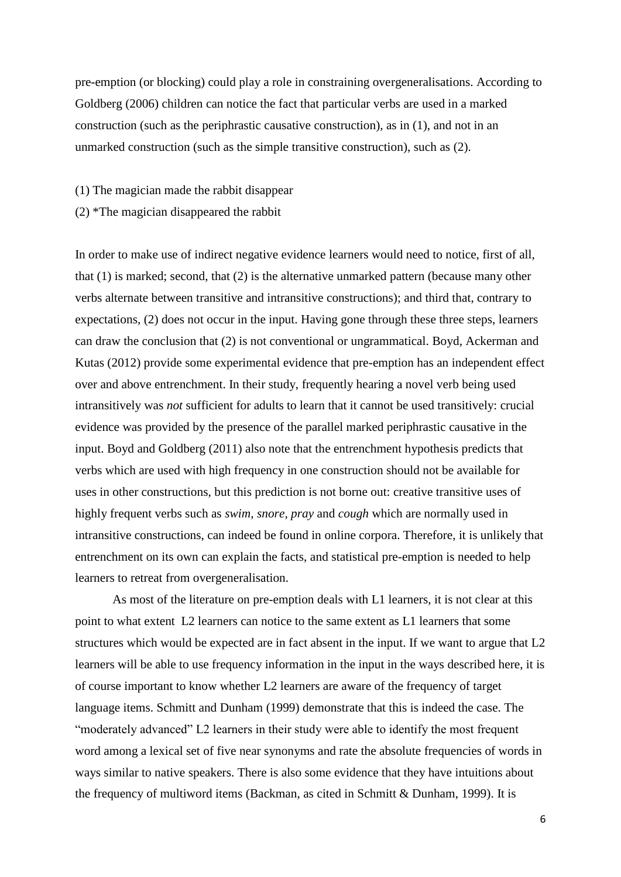pre-emption (or blocking) could play a role in constraining overgeneralisations. According to Goldberg (2006) children can notice the fact that particular verbs are used in a marked construction (such as the periphrastic causative construction), as in (1), and not in an unmarked construction (such as the simple transitive construction), such as (2).

- (1) The magician made the rabbit disappear
- (2) \*The magician disappeared the rabbit

In order to make use of indirect negative evidence learners would need to notice, first of all, that (1) is marked; second, that (2) is the alternative unmarked pattern (because many other verbs alternate between transitive and intransitive constructions); and third that, contrary to expectations, (2) does not occur in the input. Having gone through these three steps, learners can draw the conclusion that (2) is not conventional or ungrammatical. Boyd, Ackerman and Kutas (2012) provide some experimental evidence that pre-emption has an independent effect over and above entrenchment. In their study, frequently hearing a novel verb being used intransitively was *not* sufficient for adults to learn that it cannot be used transitively: crucial evidence was provided by the presence of the parallel marked periphrastic causative in the input. Boyd and Goldberg (2011) also note that the entrenchment hypothesis predicts that verbs which are used with high frequency in one construction should not be available for uses in other constructions, but this prediction is not borne out: creative transitive uses of highly frequent verbs such as *swim*, *snore, pray* and *cough* which are normally used in intransitive constructions, can indeed be found in online corpora. Therefore, it is unlikely that entrenchment on its own can explain the facts, and statistical pre-emption is needed to help learners to retreat from overgeneralisation.

As most of the literature on pre-emption deals with L1 learners, it is not clear at this point to what extent L2 learners can notice to the same extent as L1 learners that some structures which would be expected are in fact absent in the input. If we want to argue that L2 learners will be able to use frequency information in the input in the ways described here, it is of course important to know whether L2 learners are aware of the frequency of target language items. Schmitt and Dunham (1999) demonstrate that this is indeed the case. The "moderately advanced" L2 learners in their study were able to identify the most frequent word among a lexical set of five near synonyms and rate the absolute frequencies of words in ways similar to native speakers. There is also some evidence that they have intuitions about the frequency of multiword items (Backman, as cited in Schmitt & Dunham, 1999). It is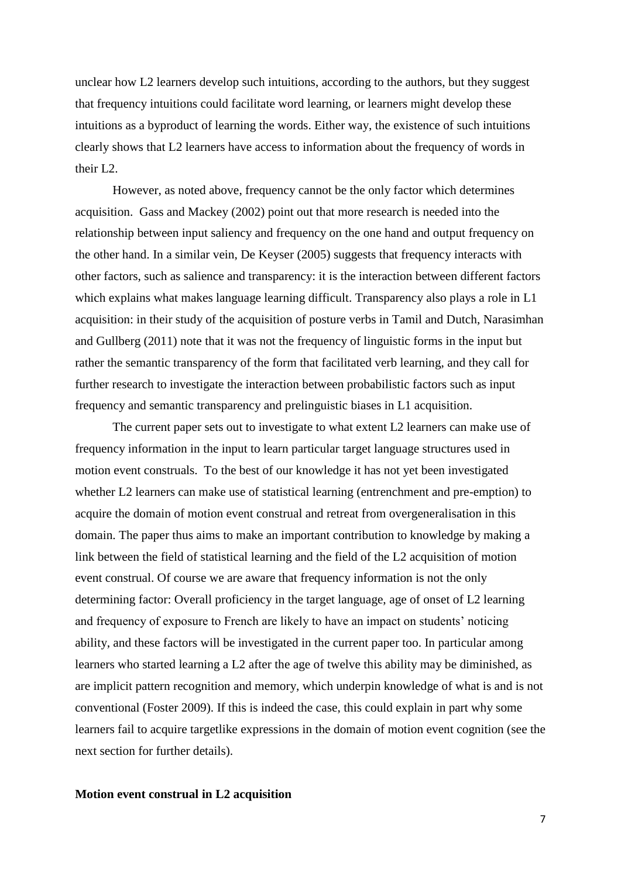unclear how L2 learners develop such intuitions, according to the authors, but they suggest that frequency intuitions could facilitate word learning, or learners might develop these intuitions as a byproduct of learning the words. Either way, the existence of such intuitions clearly shows that L2 learners have access to information about the frequency of words in their L2.

However, as noted above, frequency cannot be the only factor which determines acquisition. Gass and Mackey (2002) point out that more research is needed into the relationship between input saliency and frequency on the one hand and output frequency on the other hand. In a similar vein, De Keyser (2005) suggests that frequency interacts with other factors, such as salience and transparency: it is the interaction between different factors which explains what makes language learning difficult. Transparency also plays a role in L1 acquisition: in their study of the acquisition of posture verbs in Tamil and Dutch, Narasimhan and Gullberg (2011) note that it was not the frequency of linguistic forms in the input but rather the semantic transparency of the form that facilitated verb learning, and they call for further research to investigate the interaction between probabilistic factors such as input frequency and semantic transparency and prelinguistic biases in L1 acquisition.

The current paper sets out to investigate to what extent L2 learners can make use of frequency information in the input to learn particular target language structures used in motion event construals. To the best of our knowledge it has not yet been investigated whether L2 learners can make use of statistical learning (entrenchment and pre-emption) to acquire the domain of motion event construal and retreat from overgeneralisation in this domain. The paper thus aims to make an important contribution to knowledge by making a link between the field of statistical learning and the field of the L2 acquisition of motion event construal. Of course we are aware that frequency information is not the only determining factor: Overall proficiency in the target language, age of onset of L2 learning and frequency of exposure to French are likely to have an impact on students' noticing ability, and these factors will be investigated in the current paper too. In particular among learners who started learning a L2 after the age of twelve this ability may be diminished, as are implicit pattern recognition and memory, which underpin knowledge of what is and is not conventional (Foster 2009). If this is indeed the case, this could explain in part why some learners fail to acquire targetlike expressions in the domain of motion event cognition (see the next section for further details).

#### **Motion event construal in L2 acquisition**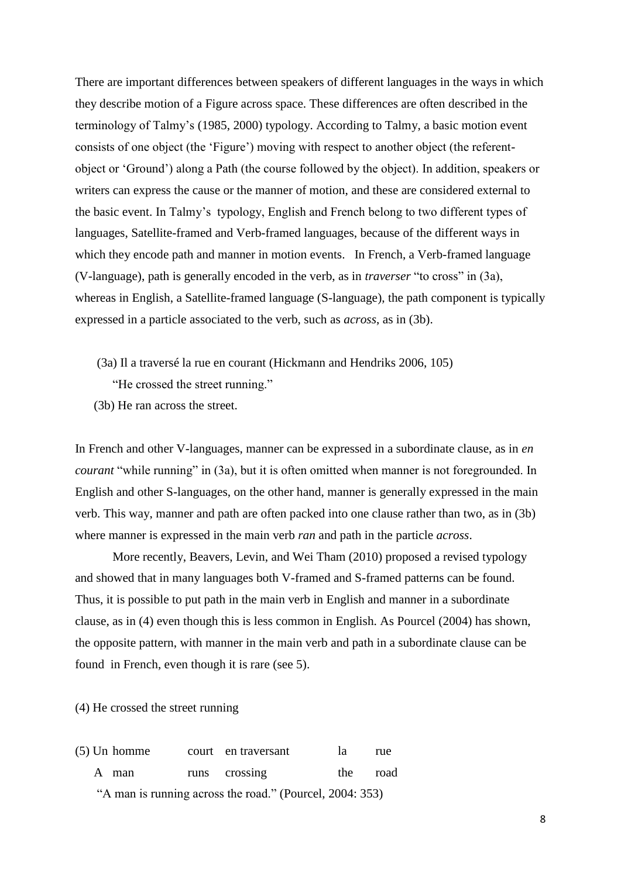There are important differences between speakers of different languages in the ways in which they describe motion of a Figure across space. These differences are often described in the terminology of Talmy's (1985, 2000) typology. According to Talmy, a basic motion event consists of one object (the 'Figure') moving with respect to another object (the referentobject or 'Ground') along a Path (the course followed by the object). In addition, speakers or writers can express the cause or the manner of motion, and these are considered external to the basic event. In Talmy's typology, English and French belong to two different types of languages, Satellite-framed and Verb-framed languages, because of the different ways in which they encode path and manner in motion events. In French, a Verb-framed language (V-language), path is generally encoded in the verb, as in *traverser* "to cross" in (3a), whereas in English, a Satellite-framed language (S-language), the path component is typically expressed in a particle associated to the verb, such as *across*, as in (3b).

- (3a) Il a traversé la rue en courant (Hickmann and Hendriks 2006, 105)
	- "He crossed the street running."
- (3b) He ran across the street.

In French and other V-languages, manner can be expressed in a subordinate clause, as in *en courant* "while running" in (3a), but it is often omitted when manner is not foregrounded. In English and other S-languages, on the other hand, manner is generally expressed in the main verb. This way, manner and path are often packed into one clause rather than two, as in (3b) where manner is expressed in the main verb *ran* and path in the particle *across*.

More recently, Beavers, Levin, and Wei Tham (2010) proposed a revised typology and showed that in many languages both V-framed and S-framed patterns can be found. Thus, it is possible to put path in the main verb in English and manner in a subordinate clause, as in (4) even though this is less common in English. As Pourcel (2004) has shown, the opposite pattern, with manner in the main verb and path in a subordinate clause can be found in French, even though it is rare (see 5).

#### (4) He crossed the street running

(5) Un homme court en traversant la rue A man runs crossing the road "A man is running across the road." (Pourcel, 2004: 353)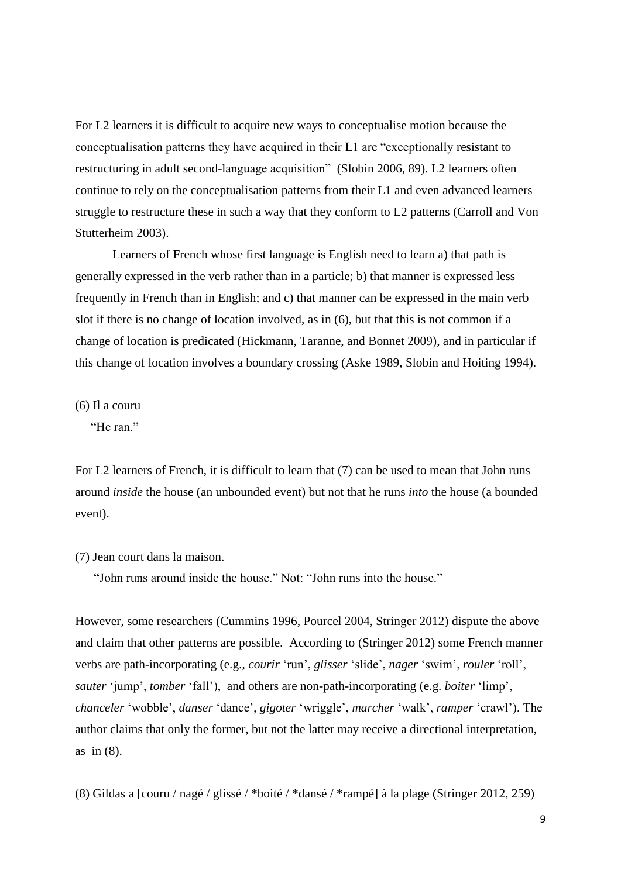For L2 learners it is difficult to acquire new ways to conceptualise motion because the conceptualisation patterns they have acquired in their L1 are "exceptionally resistant to restructuring in adult second-language acquisition" (Slobin 2006, 89). L2 learners often continue to rely on the conceptualisation patterns from their L1 and even advanced learners struggle to restructure these in such a way that they conform to L2 patterns (Carroll and Von Stutterheim 2003).

Learners of French whose first language is English need to learn a) that path is generally expressed in the verb rather than in a particle; b) that manner is expressed less frequently in French than in English; and c) that manner can be expressed in the main verb slot if there is no change of location involved, as in (6), but that this is not common if a change of location is predicated (Hickmann, Taranne, and Bonnet 2009), and in particular if this change of location involves a boundary crossing (Aske 1989, Slobin and Hoiting 1994).

(6) Il a couru

"He ran"

For L2 learners of French, it is difficult to learn that (7) can be used to mean that John runs around *inside* the house (an unbounded event) but not that he runs *into* the house (a bounded event).

(7) Jean court dans la maison.

"John runs around inside the house." Not: "John runs into the house."

However, some researchers (Cummins 1996, Pourcel 2004, Stringer 2012) dispute the above and claim that other patterns are possible. According to (Stringer 2012) some French manner verbs are path-incorporating (e.g., *courir* 'run', *glisser* 'slide', *nager* 'swim', *rouler* 'roll', *sauter* 'jump', *tomber* 'fall'), and others are non-path-incorporating (e.g. *boiter* 'limp', *chanceler* 'wobble', *danser* 'dance', *gigoter* 'wriggle', *marcher* 'walk', *ramper* 'crawl'). The author claims that only the former, but not the latter may receive a directional interpretation, as in (8).

(8) Gildas a [couru / nagé / glissé / \*boité / \*dansé / \*rampé] à la plage (Stringer 2012, 259)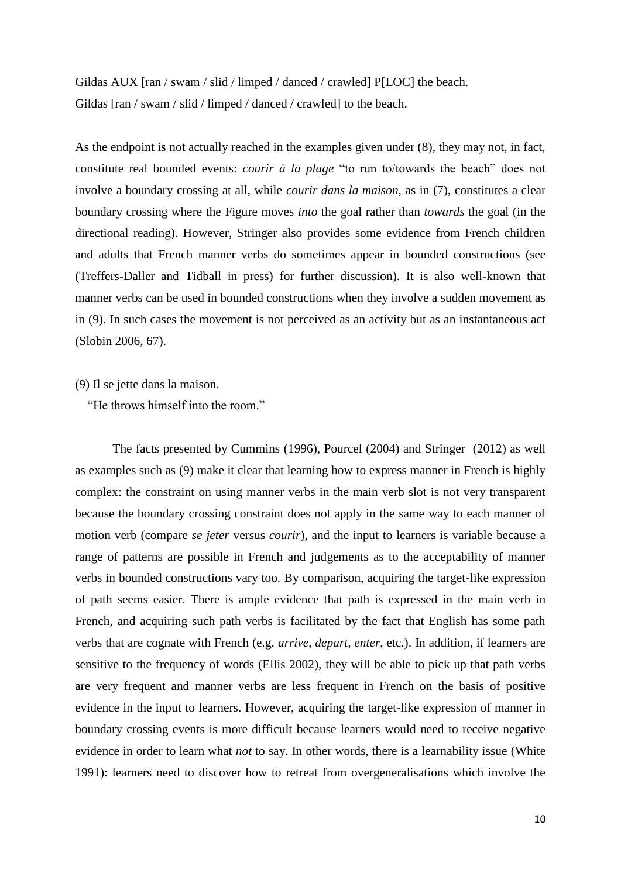Gildas AUX [ran / swam / slid / limped / danced / crawled] P[LOC] the beach. Gildas [ran / swam / slid / limped / danced / crawled] to the beach.

As the endpoint is not actually reached in the examples given under (8), they may not, in fact, constitute real bounded events: *courir à la plage* "to run to/towards the beach" does not involve a boundary crossing at all, while *courir dans la maison,* as in (7), constitutes a clear boundary crossing where the Figure moves *into* the goal rather than *towards* the goal (in the directional reading). However, Stringer also provides some evidence from French children and adults that French manner verbs do sometimes appear in bounded constructions (see (Treffers-Daller and Tidball in press) for further discussion). It is also well-known that manner verbs can be used in bounded constructions when they involve a sudden movement as in (9). In such cases the movement is not perceived as an activity but as an instantaneous act (Slobin 2006, 67).

#### (9) Il se jette dans la maison.

"He throws himself into the room."

The facts presented by Cummins (1996), Pourcel (2004) and Stringer (2012) as well as examples such as (9) make it clear that learning how to express manner in French is highly complex: the constraint on using manner verbs in the main verb slot is not very transparent because the boundary crossing constraint does not apply in the same way to each manner of motion verb (compare *se jeter* versus *courir*), and the input to learners is variable because a range of patterns are possible in French and judgements as to the acceptability of manner verbs in bounded constructions vary too. By comparison, acquiring the target-like expression of path seems easier. There is ample evidence that path is expressed in the main verb in French, and acquiring such path verbs is facilitated by the fact that English has some path verbs that are cognate with French (e.g. *arrive, depart, enter,* etc*.*). In addition, if learners are sensitive to the frequency of words (Ellis 2002), they will be able to pick up that path verbs are very frequent and manner verbs are less frequent in French on the basis of positive evidence in the input to learners. However, acquiring the target-like expression of manner in boundary crossing events is more difficult because learners would need to receive negative evidence in order to learn what *not* to say. In other words, there is a learnability issue (White 1991): learners need to discover how to retreat from overgeneralisations which involve the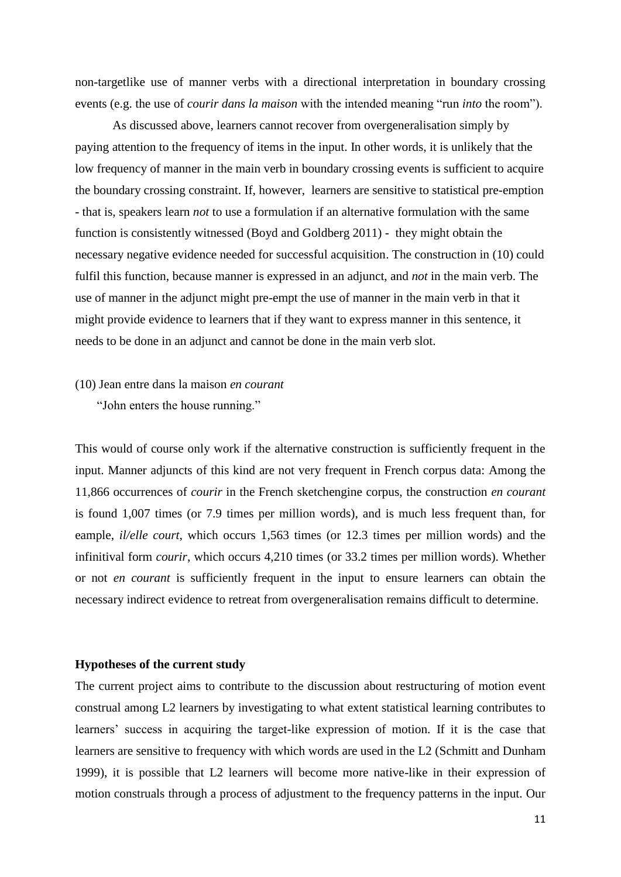non-targetlike use of manner verbs with a directional interpretation in boundary crossing events (e.g. the use of *courir dans la maison* with the intended meaning "run *into* the room").

As discussed above, learners cannot recover from overgeneralisation simply by paying attention to the frequency of items in the input. In other words, it is unlikely that the low frequency of manner in the main verb in boundary crossing events is sufficient to acquire the boundary crossing constraint. If, however, learners are sensitive to statistical pre-emption - that is, speakers learn *not* to use a formulation if an alternative formulation with the same function is consistently witnessed (Boyd and Goldberg 2011) - they might obtain the necessary negative evidence needed for successful acquisition. The construction in (10) could fulfil this function, because manner is expressed in an adjunct, and *not* in the main verb. The use of manner in the adjunct might pre-empt the use of manner in the main verb in that it might provide evidence to learners that if they want to express manner in this sentence, it needs to be done in an adjunct and cannot be done in the main verb slot.

# (10) Jean entre dans la maison *en courant*

"John enters the house running."

This would of course only work if the alternative construction is sufficiently frequent in the input. Manner adjuncts of this kind are not very frequent in French corpus data: Among the 11,866 occurrences of *courir* in the French sketchengine corpus, the construction *en courant* is found 1,007 times (or 7.9 times per million words), and is much less frequent than, for eample, *il/elle court*, which occurs 1,563 times (or 12.3 times per million words) and the infinitival form *courir*, which occurs 4,210 times (or 33.2 times per million words). Whether or not *en courant* is sufficiently frequent in the input to ensure learners can obtain the necessary indirect evidence to retreat from overgeneralisation remains difficult to determine.

#### **Hypotheses of the current study**

The current project aims to contribute to the discussion about restructuring of motion event construal among L2 learners by investigating to what extent statistical learning contributes to learners' success in acquiring the target-like expression of motion. If it is the case that learners are sensitive to frequency with which words are used in the L2 (Schmitt and Dunham 1999), it is possible that L2 learners will become more native-like in their expression of motion construals through a process of adjustment to the frequency patterns in the input. Our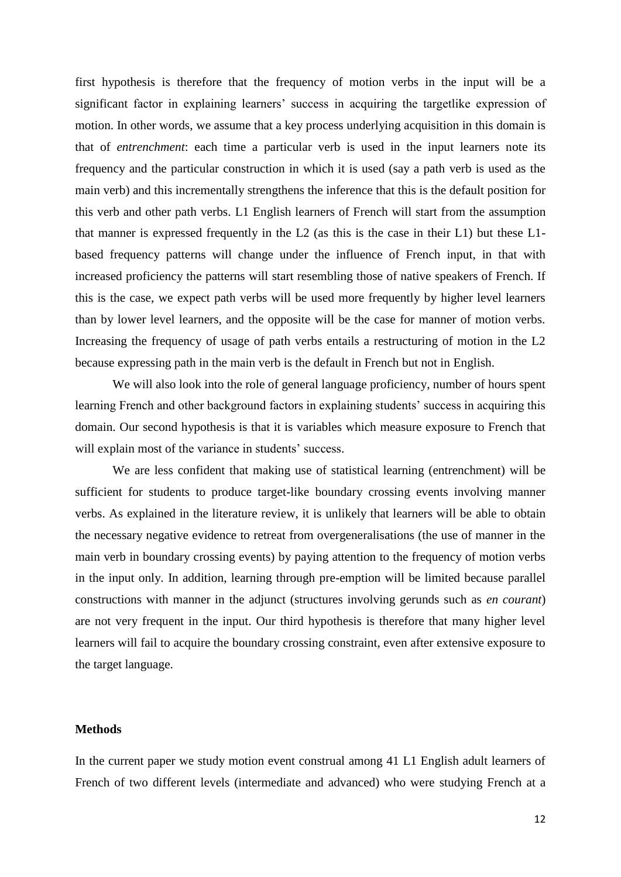first hypothesis is therefore that the frequency of motion verbs in the input will be a significant factor in explaining learners' success in acquiring the targetlike expression of motion. In other words, we assume that a key process underlying acquisition in this domain is that of *entrenchment*: each time a particular verb is used in the input learners note its frequency and the particular construction in which it is used (say a path verb is used as the main verb) and this incrementally strengthens the inference that this is the default position for this verb and other path verbs. L1 English learners of French will start from the assumption that manner is expressed frequently in the L2 (as this is the case in their L1) but these L1 based frequency patterns will change under the influence of French input, in that with increased proficiency the patterns will start resembling those of native speakers of French. If this is the case, we expect path verbs will be used more frequently by higher level learners than by lower level learners, and the opposite will be the case for manner of motion verbs. Increasing the frequency of usage of path verbs entails a restructuring of motion in the L2 because expressing path in the main verb is the default in French but not in English.

We will also look into the role of general language proficiency, number of hours spent learning French and other background factors in explaining students' success in acquiring this domain. Our second hypothesis is that it is variables which measure exposure to French that will explain most of the variance in students' success.

We are less confident that making use of statistical learning (entrenchment) will be sufficient for students to produce target-like boundary crossing events involving manner verbs. As explained in the literature review, it is unlikely that learners will be able to obtain the necessary negative evidence to retreat from overgeneralisations (the use of manner in the main verb in boundary crossing events) by paying attention to the frequency of motion verbs in the input only. In addition, learning through pre-emption will be limited because parallel constructions with manner in the adjunct (structures involving gerunds such as *en courant*) are not very frequent in the input. Our third hypothesis is therefore that many higher level learners will fail to acquire the boundary crossing constraint, even after extensive exposure to the target language.

## **Methods**

In the current paper we study motion event construal among 41 L1 English adult learners of French of two different levels (intermediate and advanced) who were studying French at a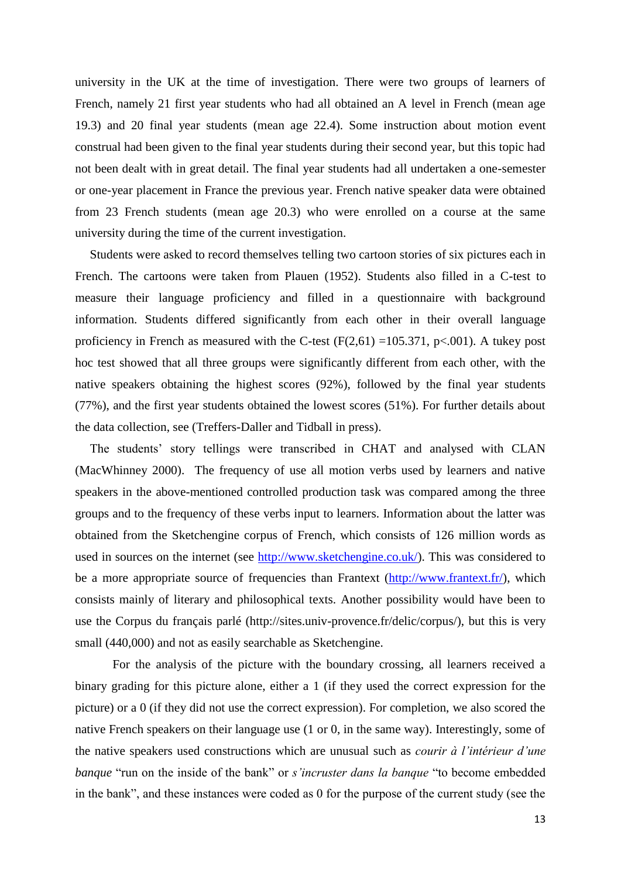university in the UK at the time of investigation. There were two groups of learners of French, namely 21 first year students who had all obtained an A level in French (mean age 19.3) and 20 final year students (mean age 22.4). Some instruction about motion event construal had been given to the final year students during their second year, but this topic had not been dealt with in great detail. The final year students had all undertaken a one-semester or one-year placement in France the previous year. French native speaker data were obtained from 23 French students (mean age 20.3) who were enrolled on a course at the same university during the time of the current investigation.

Students were asked to record themselves telling two cartoon stories of six pictures each in French. The cartoons were taken from Plauen (1952). Students also filled in a C-test to measure their language proficiency and filled in a questionnaire with background information. Students differed significantly from each other in their overall language proficiency in French as measured with the C-test  $(F(2,61) = 105.371, p < .001)$ . A tukey post hoc test showed that all three groups were significantly different from each other, with the native speakers obtaining the highest scores (92%), followed by the final year students (77%), and the first year students obtained the lowest scores (51%). For further details about the data collection, see (Treffers-Daller and Tidball in press).

The students' story tellings were transcribed in CHAT and analysed with CLAN (MacWhinney 2000). The frequency of use all motion verbs used by learners and native speakers in the above-mentioned controlled production task was compared among the three groups and to the frequency of these verbs input to learners. Information about the latter was obtained from the Sketchengine corpus of French, which consists of 126 million words as used in sources on the internet (see [http://www.sketchengine.co.uk/\)](http://www.sketchengine.co.uk/). This was considered to be a more appropriate source of frequencies than Frantext [\(http://www.frantext.fr/\)](http://www.frantext.fr/), which consists mainly of literary and philosophical texts. Another possibility would have been to use the Corpus du français parlé (http://sites.univ-provence.fr/delic/corpus/), but this is very small (440,000) and not as easily searchable as Sketchengine.

For the analysis of the picture with the boundary crossing, all learners received a binary grading for this picture alone, either a 1 (if they used the correct expression for the picture) or a 0 (if they did not use the correct expression). For completion, we also scored the native French speakers on their language use (1 or 0, in the same way). Interestingly, some of the native speakers used constructions which are unusual such as *courir à l'intérieur d'une banque* "run on the inside of the bank" or *s'incruster dans la banque* "to become embedded in the bank", and these instances were coded as 0 for the purpose of the current study (see the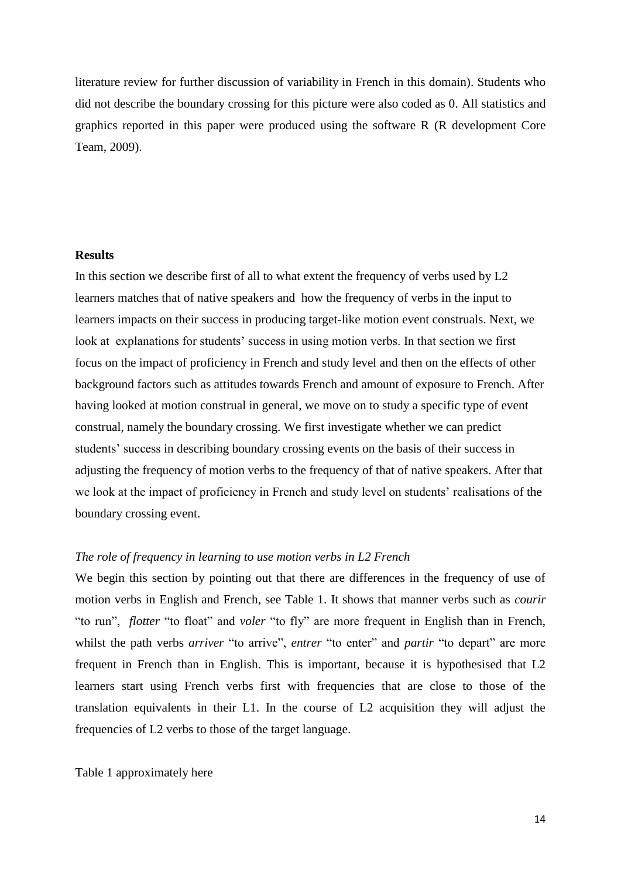literature review for further discussion of variability in French in this domain). Students who did not describe the boundary crossing for this picture were also coded as 0. All statistics and graphics reported in this paper were produced using the software R (R development Core Team, 2009).

#### **Results**

In this section we describe first of all to what extent the frequency of verbs used by L2 learners matches that of native speakers and how the frequency of verbs in the input to learners impacts on their success in producing target-like motion event construals. Next, we look at explanations for students' success in using motion verbs. In that section we first focus on the impact of proficiency in French and study level and then on the effects of other background factors such as attitudes towards French and amount of exposure to French. After having looked at motion construal in general, we move on to study a specific type of event construal, namely the boundary crossing. We first investigate whether we can predict students' success in describing boundary crossing events on the basis of their success in adjusting the frequency of motion verbs to the frequency of that of native speakers. After that we look at the impact of proficiency in French and study level on students' realisations of the boundary crossing event.

#### *The role of frequency in learning to use motion verbs in L2 French*

We begin this section by pointing out that there are differences in the frequency of use of motion verbs in English and French, see Table 1. It shows that manner verbs such as *courir* "to run", *flotter* "to float" and *voler* "to fly" are more frequent in English than in French, whilst the path verbs *arriver* "to arrive", *entrer* "to enter" and *partir* "to depart" are more frequent in French than in English. This is important, because it is hypothesised that L2 learners start using French verbs first with frequencies that are close to those of the translation equivalents in their L1. In the course of L2 acquisition they will adjust the frequencies of L2 verbs to those of the target language.

Table 1 approximately here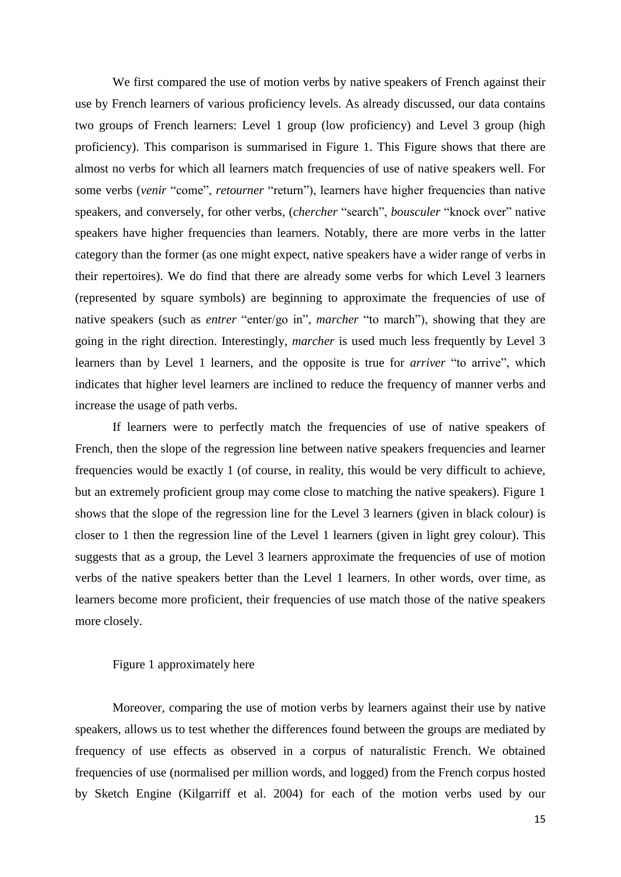We first compared the use of motion verbs by native speakers of French against their use by French learners of various proficiency levels. As already discussed, our data contains two groups of French learners: Level 1 group (low proficiency) and Level 3 group (high proficiency). This comparison is summarised in Figure 1. This Figure shows that there are almost no verbs for which all learners match frequencies of use of native speakers well. For some verbs (*venir* "come", *retourner* "return"), learners have higher frequencies than native speakers, and conversely, for other verbs, (*chercher* "search", *bousculer* "knock over" native speakers have higher frequencies than learners. Notably, there are more verbs in the latter category than the former (as one might expect, native speakers have a wider range of verbs in their repertoires). We do find that there are already some verbs for which Level 3 learners (represented by square symbols) are beginning to approximate the frequencies of use of native speakers (such as *entrer* "enter/go in", *marcher* "to march"), showing that they are going in the right direction. Interestingly, *marcher* is used much less frequently by Level 3 learners than by Level 1 learners, and the opposite is true for *arriver* "to arrive", which indicates that higher level learners are inclined to reduce the frequency of manner verbs and increase the usage of path verbs.

If learners were to perfectly match the frequencies of use of native speakers of French, then the slope of the regression line between native speakers frequencies and learner frequencies would be exactly 1 (of course, in reality, this would be very difficult to achieve, but an extremely proficient group may come close to matching the native speakers). Figure 1 shows that the slope of the regression line for the Level 3 learners (given in black colour) is closer to 1 then the regression line of the Level 1 learners (given in light grey colour). This suggests that as a group, the Level 3 learners approximate the frequencies of use of motion verbs of the native speakers better than the Level 1 learners. In other words, over time, as learners become more proficient, their frequencies of use match those of the native speakers more closely.

### Figure 1 approximately here

Moreover, comparing the use of motion verbs by learners against their use by native speakers, allows us to test whether the differences found between the groups are mediated by frequency of use effects as observed in a corpus of naturalistic French. We obtained frequencies of use (normalised per million words, and logged) from the French corpus hosted by Sketch Engine (Kilgarriff et al. 2004) for each of the motion verbs used by our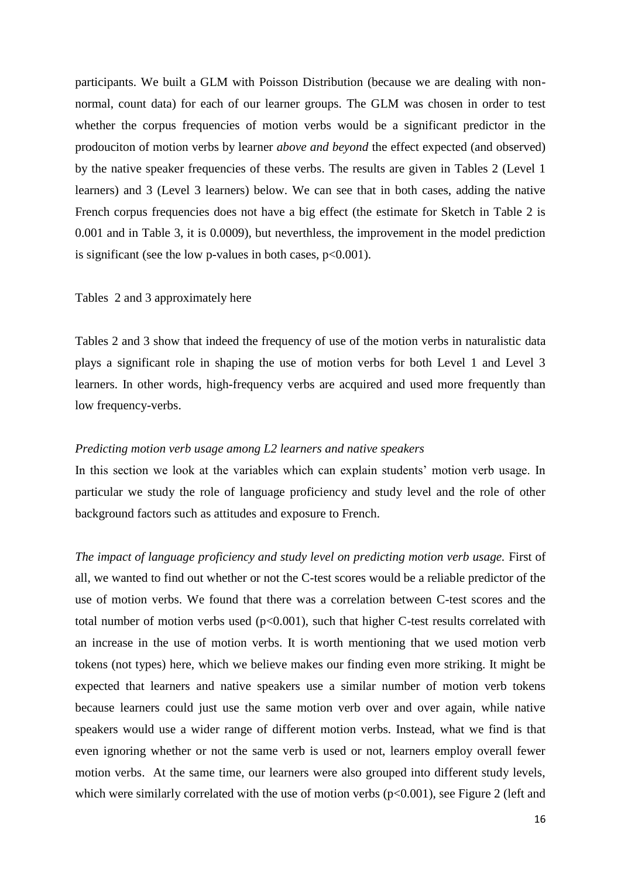participants. We built a GLM with Poisson Distribution (because we are dealing with nonnormal, count data) for each of our learner groups. The GLM was chosen in order to test whether the corpus frequencies of motion verbs would be a significant predictor in the prodouciton of motion verbs by learner *above and beyond* the effect expected (and observed) by the native speaker frequencies of these verbs. The results are given in Tables 2 (Level 1 learners) and 3 (Level 3 learners) below. We can see that in both cases, adding the native French corpus frequencies does not have a big effect (the estimate for Sketch in Table 2 is 0.001 and in Table 3, it is 0.0009), but neverthless, the improvement in the model prediction is significant (see the low p-values in both cases,  $p<0.001$ ).

#### Tables 2 and 3 approximately here

Tables 2 and 3 show that indeed the frequency of use of the motion verbs in naturalistic data plays a significant role in shaping the use of motion verbs for both Level 1 and Level 3 learners. In other words, high-frequency verbs are acquired and used more frequently than low frequency-verbs.

## *Predicting motion verb usage among L2 learners and native speakers*

In this section we look at the variables which can explain students' motion verb usage. In particular we study the role of language proficiency and study level and the role of other background factors such as attitudes and exposure to French.

*The impact of language proficiency and study level on predicting motion verb usage.* First of all, we wanted to find out whether or not the C-test scores would be a reliable predictor of the use of motion verbs. We found that there was a correlation between C-test scores and the total number of motion verbs used  $(p<0.001)$ , such that higher C-test results correlated with an increase in the use of motion verbs. It is worth mentioning that we used motion verb tokens (not types) here, which we believe makes our finding even more striking. It might be expected that learners and native speakers use a similar number of motion verb tokens because learners could just use the same motion verb over and over again, while native speakers would use a wider range of different motion verbs. Instead, what we find is that even ignoring whether or not the same verb is used or not, learners employ overall fewer motion verbs. At the same time, our learners were also grouped into different study levels, which were similarly correlated with the use of motion verbs  $(p<0.001)$ , see Figure 2 (left and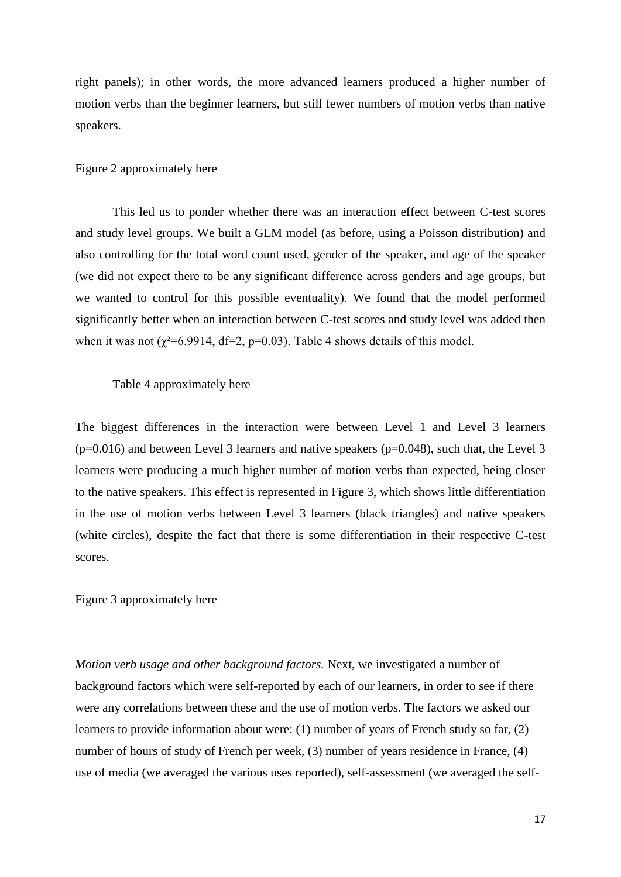right panels); in other words, the more advanced learners produced a higher number of motion verbs than the beginner learners, but still fewer numbers of motion verbs than native speakers.

#### Figure 2 approximately here

This led us to ponder whether there was an interaction effect between C-test scores and study level groups. We built a GLM model (as before, using a Poisson distribution) and also controlling for the total word count used, gender of the speaker, and age of the speaker (we did not expect there to be any significant difference across genders and age groups, but we wanted to control for this possible eventuality). We found that the model performed significantly better when an interaction between C-test scores and study level was added then when it was not ( $\chi^2$ =6.9914, df=2, p=0.03). Table 4 shows details of this model.

#### Table 4 approximately here

The biggest differences in the interaction were between Level 1 and Level 3 learners  $(p=0.016)$  and between Level 3 learners and native speakers  $(p=0.048)$ , such that, the Level 3 learners were producing a much higher number of motion verbs than expected, being closer to the native speakers. This effect is represented in Figure 3, which shows little differentiation in the use of motion verbs between Level 3 learners (black triangles) and native speakers (white circles), despite the fact that there is some differentiation in their respective C-test scores.

#### Figure 3 approximately here

*Motion verb usage and other background factors.* Next, we investigated a number of background factors which were self-reported by each of our learners, in order to see if there were any correlations between these and the use of motion verbs. The factors we asked our learners to provide information about were: (1) number of years of French study so far, (2) number of hours of study of French per week, (3) number of years residence in France, (4) use of media (we averaged the various uses reported), self-assessment (we averaged the self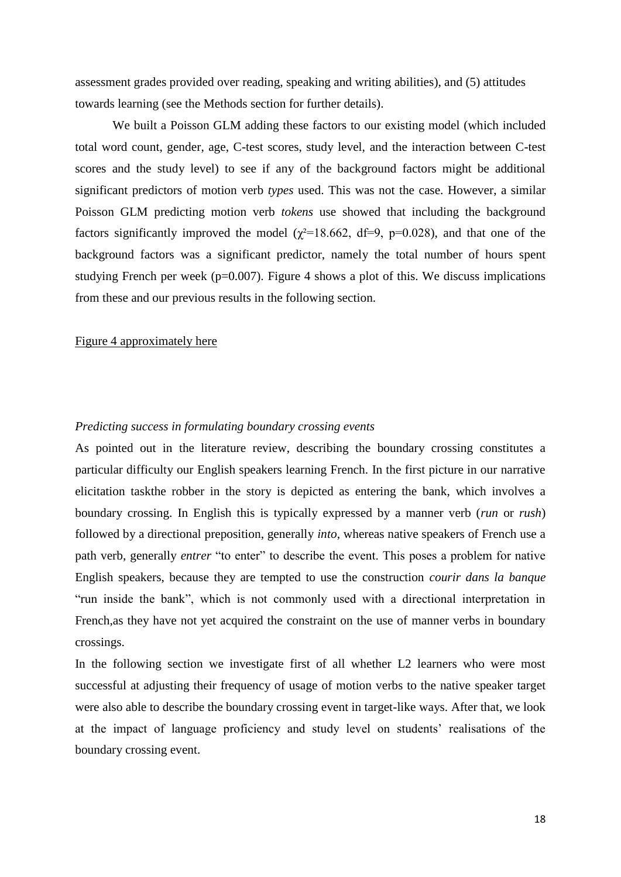assessment grades provided over reading, speaking and writing abilities), and (5) attitudes towards learning (see the Methods section for further details).

We built a Poisson GLM adding these factors to our existing model (which included total word count, gender, age, C-test scores, study level, and the interaction between C-test scores and the study level) to see if any of the background factors might be additional significant predictors of motion verb *types* used. This was not the case. However, a similar Poisson GLM predicting motion verb *tokens* use showed that including the background factors significantly improved the model ( $\chi^2$ =18.662, df=9, p=0.028), and that one of the background factors was a significant predictor, namely the total number of hours spent studying French per week (p=0.007). Figure 4 shows a plot of this. We discuss implications from these and our previous results in the following section.

### Figure 4 approximately here

## *Predicting success in formulating boundary crossing events*

As pointed out in the literature review, describing the boundary crossing constitutes a particular difficulty our English speakers learning French. In the first picture in our narrative elicitation taskthe robber in the story is depicted as entering the bank, which involves a boundary crossing. In English this is typically expressed by a manner verb (*run* or *rush*) followed by a directional preposition, generally *into*, whereas native speakers of French use a path verb, generally *entrer* "to enter" to describe the event. This poses a problem for native English speakers, because they are tempted to use the construction *courir dans la banque* "run inside the bank", which is not commonly used with a directional interpretation in French,as they have not yet acquired the constraint on the use of manner verbs in boundary crossings.

In the following section we investigate first of all whether L2 learners who were most successful at adjusting their frequency of usage of motion verbs to the native speaker target were also able to describe the boundary crossing event in target-like ways. After that, we look at the impact of language proficiency and study level on students' realisations of the boundary crossing event.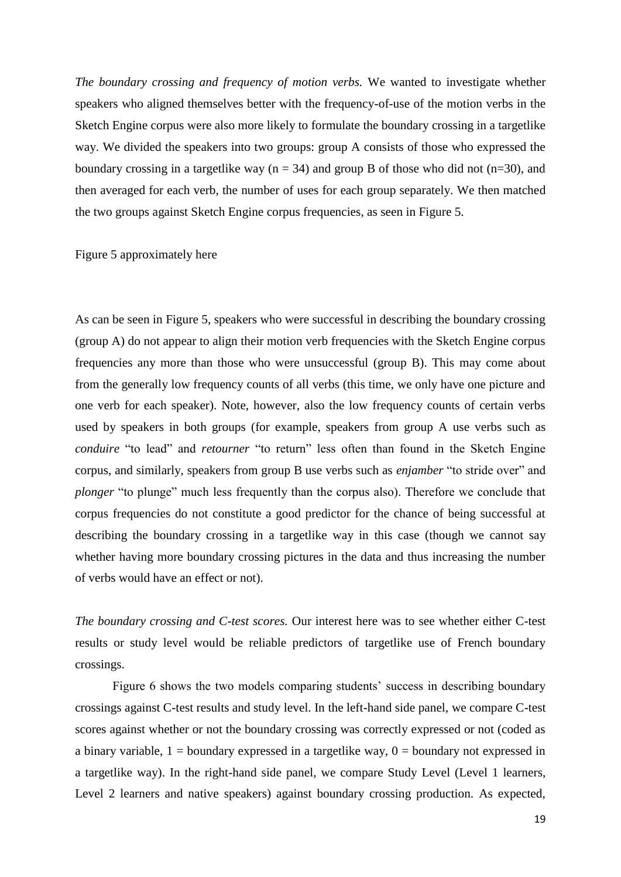*The boundary crossing and frequency of motion verbs.* We wanted to investigate whether speakers who aligned themselves better with the frequency-of-use of the motion verbs in the Sketch Engine corpus were also more likely to formulate the boundary crossing in a targetlike way. We divided the speakers into two groups: group A consists of those who expressed the boundary crossing in a targetlike way ( $n = 34$ ) and group B of those who did not ( $n = 30$ ), and then averaged for each verb, the number of uses for each group separately. We then matched the two groups against Sketch Engine corpus frequencies, as seen in Figure 5.

Figure 5 approximately here

As can be seen in Figure 5, speakers who were successful in describing the boundary crossing (group A) do not appear to align their motion verb frequencies with the Sketch Engine corpus frequencies any more than those who were unsuccessful (group B). This may come about from the generally low frequency counts of all verbs (this time, we only have one picture and one verb for each speaker). Note, however, also the low frequency counts of certain verbs used by speakers in both groups (for example, speakers from group A use verbs such as *conduire* "to lead" and *retourner* "to return" less often than found in the Sketch Engine corpus, and similarly, speakers from group B use verbs such as *enjamber* "to stride over" and *plonger* "to plunge" much less frequently than the corpus also). Therefore we conclude that corpus frequencies do not constitute a good predictor for the chance of being successful at describing the boundary crossing in a targetlike way in this case (though we cannot say whether having more boundary crossing pictures in the data and thus increasing the number of verbs would have an effect or not).

*The boundary crossing and C-test scores.* Our interest here was to see whether either C-test results or study level would be reliable predictors of targetlike use of French boundary crossings.

Figure 6 shows the two models comparing students' success in describing boundary crossings against C-test results and study level. In the left-hand side panel, we compare C-test scores against whether or not the boundary crossing was correctly expressed or not (coded as a binary variable,  $1 =$  boundary expressed in a target like way,  $0 =$  boundary not expressed in a targetlike way). In the right-hand side panel, we compare Study Level (Level 1 learners, Level 2 learners and native speakers) against boundary crossing production. As expected,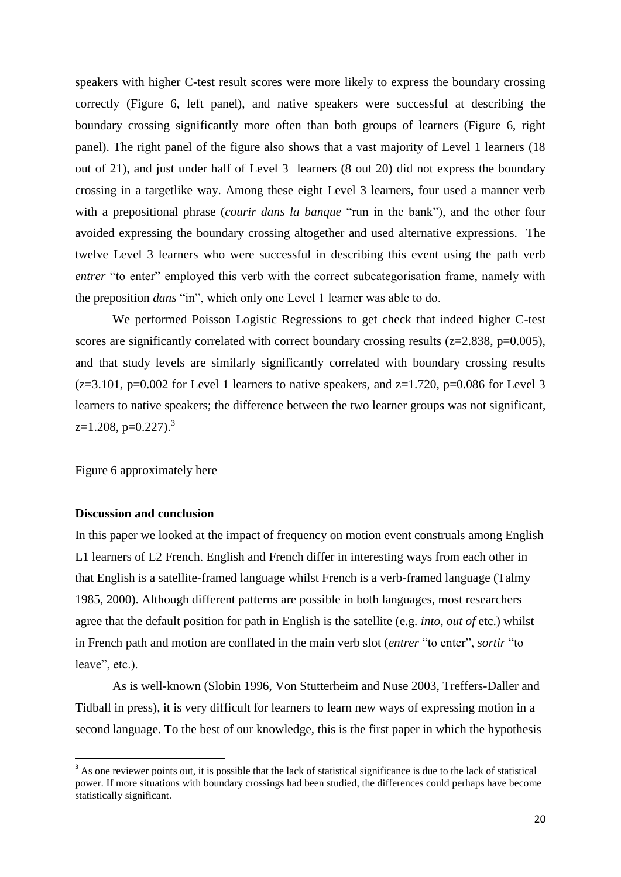speakers with higher C-test result scores were more likely to express the boundary crossing correctly (Figure 6, left panel), and native speakers were successful at describing the boundary crossing significantly more often than both groups of learners (Figure 6, right panel). The right panel of the figure also shows that a vast majority of Level 1 learners (18 out of 21), and just under half of Level 3 learners (8 out 20) did not express the boundary crossing in a targetlike way. Among these eight Level 3 learners, four used a manner verb with a prepositional phrase (*courir dans la banque* "run in the bank"), and the other four avoided expressing the boundary crossing altogether and used alternative expressions. The twelve Level 3 learners who were successful in describing this event using the path verb *entrer* "to enter" employed this verb with the correct subcategorisation frame, namely with the preposition *dans* "in", which only one Level 1 learner was able to do.

We performed Poisson Logistic Regressions to get check that indeed higher C-test scores are significantly correlated with correct boundary crossing results ( $z=2.838$ ,  $p=0.005$ ), and that study levels are similarly significantly correlated with boundary crossing results  $(z=3.101, p=0.002$  for Level 1 learners to native speakers, and  $z=1.720$ ,  $p=0.086$  for Level 3 learners to native speakers; the difference between the two learner groups was not significant,  $z=1.208$ ,  $p=0.227$ ).<sup>3</sup>

Figure 6 approximately here

### **Discussion and conclusion**

**.** 

In this paper we looked at the impact of frequency on motion event construals among English L1 learners of L2 French. English and French differ in interesting ways from each other in that English is a satellite-framed language whilst French is a verb-framed language (Talmy 1985, 2000). Although different patterns are possible in both languages, most researchers agree that the default position for path in English is the satellite (e.g. *into*, *out of* etc.) whilst in French path and motion are conflated in the main verb slot (*entrer* "to enter", *sortir* "to leave", etc.).

As is well-known (Slobin 1996, Von Stutterheim and Nuse 2003, Treffers-Daller and Tidball in press), it is very difficult for learners to learn new ways of expressing motion in a second language. To the best of our knowledge, this is the first paper in which the hypothesis

 $3$  As one reviewer points out, it is possible that the lack of statistical significance is due to the lack of statistical power. If more situations with boundary crossings had been studied, the differences could perhaps have become statistically significant.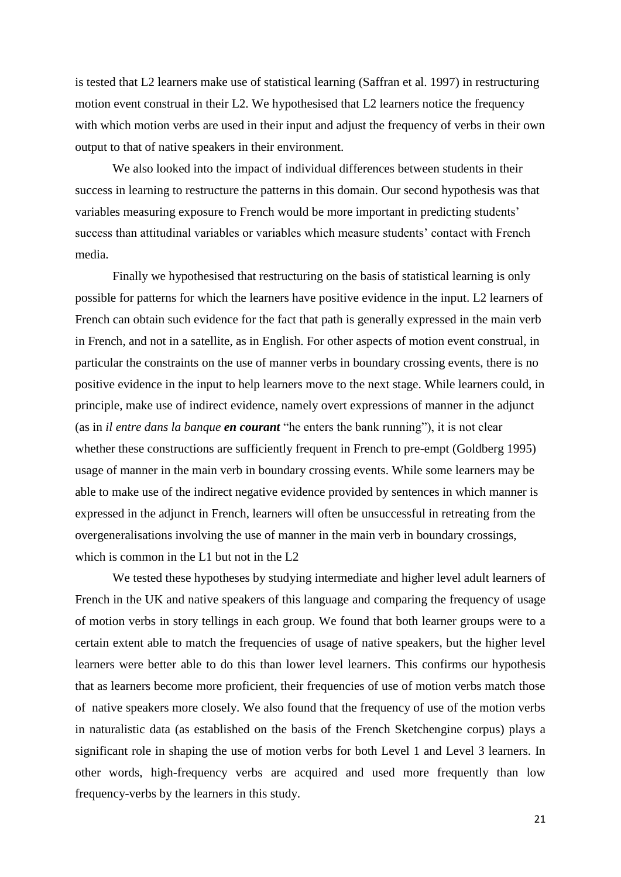is tested that L2 learners make use of statistical learning (Saffran et al. 1997) in restructuring motion event construal in their L2. We hypothesised that L2 learners notice the frequency with which motion verbs are used in their input and adjust the frequency of verbs in their own output to that of native speakers in their environment.

We also looked into the impact of individual differences between students in their success in learning to restructure the patterns in this domain. Our second hypothesis was that variables measuring exposure to French would be more important in predicting students' success than attitudinal variables or variables which measure students' contact with French media.

Finally we hypothesised that restructuring on the basis of statistical learning is only possible for patterns for which the learners have positive evidence in the input. L2 learners of French can obtain such evidence for the fact that path is generally expressed in the main verb in French, and not in a satellite, as in English. For other aspects of motion event construal, in particular the constraints on the use of manner verbs in boundary crossing events, there is no positive evidence in the input to help learners move to the next stage. While learners could, in principle, make use of indirect evidence, namely overt expressions of manner in the adjunct (as in *il entre dans la banque en courant* "he enters the bank running"), it is not clear whether these constructions are sufficiently frequent in French to pre-empt (Goldberg 1995) usage of manner in the main verb in boundary crossing events. While some learners may be able to make use of the indirect negative evidence provided by sentences in which manner is expressed in the adjunct in French, learners will often be unsuccessful in retreating from the overgeneralisations involving the use of manner in the main verb in boundary crossings, which is common in the L1 but not in the L2

We tested these hypotheses by studying intermediate and higher level adult learners of French in the UK and native speakers of this language and comparing the frequency of usage of motion verbs in story tellings in each group. We found that both learner groups were to a certain extent able to match the frequencies of usage of native speakers, but the higher level learners were better able to do this than lower level learners. This confirms our hypothesis that as learners become more proficient, their frequencies of use of motion verbs match those of native speakers more closely. We also found that the frequency of use of the motion verbs in naturalistic data (as established on the basis of the French Sketchengine corpus) plays a significant role in shaping the use of motion verbs for both Level 1 and Level 3 learners. In other words, high-frequency verbs are acquired and used more frequently than low frequency-verbs by the learners in this study.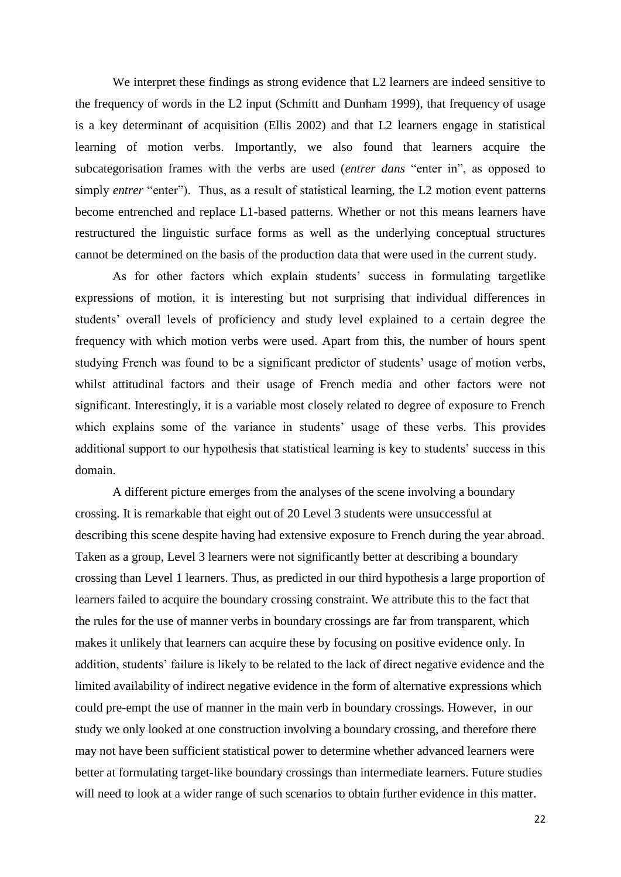We interpret these findings as strong evidence that L2 learners are indeed sensitive to the frequency of words in the L2 input (Schmitt and Dunham 1999), that frequency of usage is a key determinant of acquisition (Ellis 2002) and that L2 learners engage in statistical learning of motion verbs. Importantly, we also found that learners acquire the subcategorisation frames with the verbs are used (*entrer dans* "enter in", as opposed to simply *entrer* "enter"). Thus, as a result of statistical learning, the L2 motion event patterns become entrenched and replace L1-based patterns. Whether or not this means learners have restructured the linguistic surface forms as well as the underlying conceptual structures cannot be determined on the basis of the production data that were used in the current study.

As for other factors which explain students' success in formulating targetlike expressions of motion, it is interesting but not surprising that individual differences in students' overall levels of proficiency and study level explained to a certain degree the frequency with which motion verbs were used. Apart from this, the number of hours spent studying French was found to be a significant predictor of students' usage of motion verbs, whilst attitudinal factors and their usage of French media and other factors were not significant. Interestingly, it is a variable most closely related to degree of exposure to French which explains some of the variance in students' usage of these verbs. This provides additional support to our hypothesis that statistical learning is key to students' success in this domain.

A different picture emerges from the analyses of the scene involving a boundary crossing. It is remarkable that eight out of 20 Level 3 students were unsuccessful at describing this scene despite having had extensive exposure to French during the year abroad. Taken as a group, Level 3 learners were not significantly better at describing a boundary crossing than Level 1 learners. Thus, as predicted in our third hypothesis a large proportion of learners failed to acquire the boundary crossing constraint. We attribute this to the fact that the rules for the use of manner verbs in boundary crossings are far from transparent, which makes it unlikely that learners can acquire these by focusing on positive evidence only. In addition, students' failure is likely to be related to the lack of direct negative evidence and the limited availability of indirect negative evidence in the form of alternative expressions which could pre-empt the use of manner in the main verb in boundary crossings. However, in our study we only looked at one construction involving a boundary crossing, and therefore there may not have been sufficient statistical power to determine whether advanced learners were better at formulating target-like boundary crossings than intermediate learners. Future studies will need to look at a wider range of such scenarios to obtain further evidence in this matter.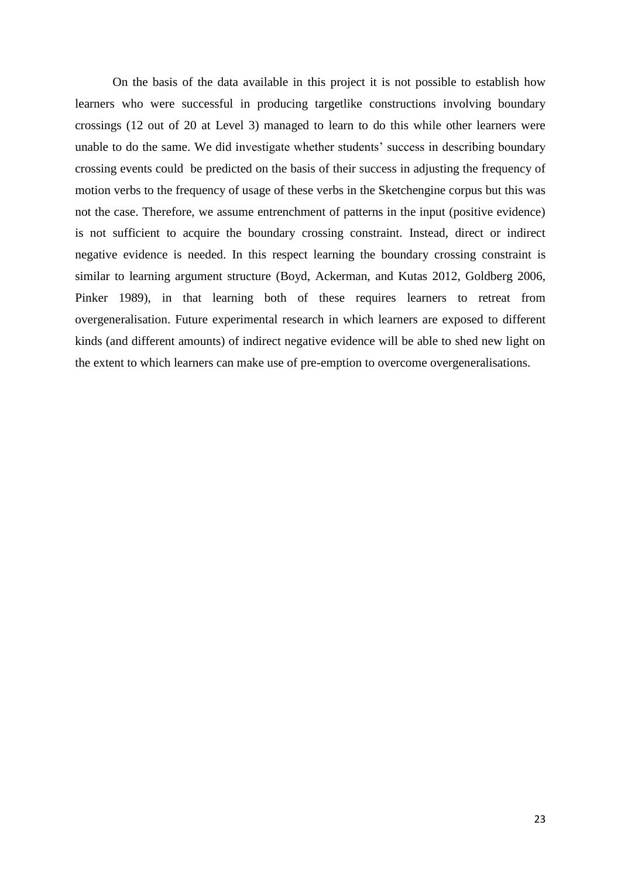On the basis of the data available in this project it is not possible to establish how learners who were successful in producing targetlike constructions involving boundary crossings (12 out of 20 at Level 3) managed to learn to do this while other learners were unable to do the same. We did investigate whether students' success in describing boundary crossing events could be predicted on the basis of their success in adjusting the frequency of motion verbs to the frequency of usage of these verbs in the Sketchengine corpus but this was not the case. Therefore, we assume entrenchment of patterns in the input (positive evidence) is not sufficient to acquire the boundary crossing constraint. Instead, direct or indirect negative evidence is needed. In this respect learning the boundary crossing constraint is similar to learning argument structure (Boyd, Ackerman, and Kutas 2012, Goldberg 2006, Pinker 1989), in that learning both of these requires learners to retreat from overgeneralisation. Future experimental research in which learners are exposed to different kinds (and different amounts) of indirect negative evidence will be able to shed new light on the extent to which learners can make use of pre-emption to overcome overgeneralisations.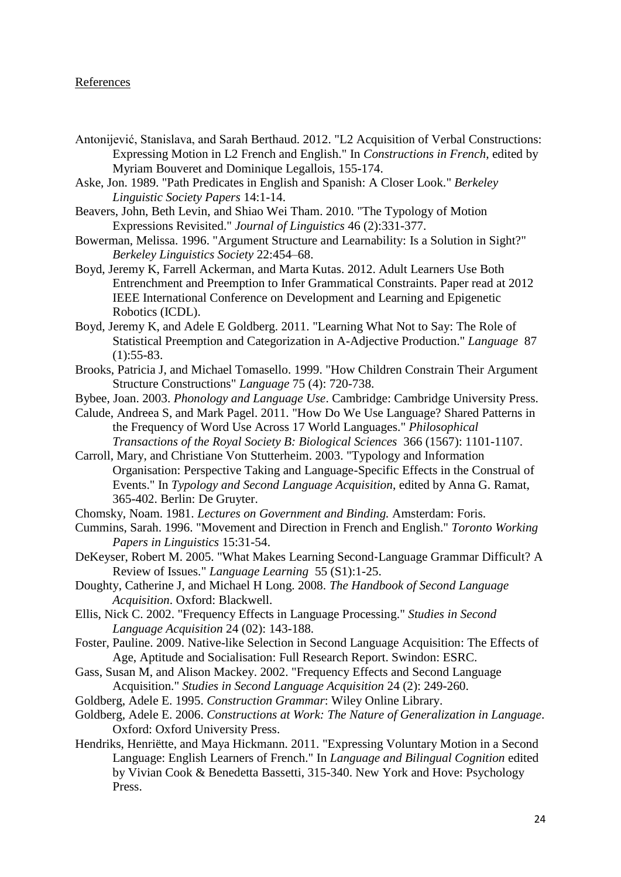### References

- Antonijević, Stanislava, and Sarah Berthaud. 2012. "L2 Acquisition of Verbal Constructions: Expressing Motion in L2 French and English." In *Constructions in French*, edited by Myriam Bouveret and Dominique Legallois, 155-174.
- Aske, Jon. 1989. "Path Predicates in English and Spanish: A Closer Look." *Berkeley Linguistic Society Papers* 14:1-14.
- Beavers, John, Beth Levin, and Shiao Wei Tham. 2010. "The Typology of Motion Expressions Revisited." *Journal of Linguistics* 46 (2):331-377.
- Bowerman, Melissa. 1996. "Argument Structure and Learnability: Is a Solution in Sight?" *Berkeley Linguistics Society* 22:454–68.
- Boyd, Jeremy K, Farrell Ackerman, and Marta Kutas. 2012. Adult Learners Use Both Entrenchment and Preemption to Infer Grammatical Constraints. Paper read at 2012 IEEE International Conference on Development and Learning and Epigenetic Robotics (ICDL).
- Boyd, Jeremy K, and Adele E Goldberg. 2011. "Learning What Not to Say: The Role of Statistical Preemption and Categorization in A-Adjective Production." *Language* 87  $(1):$ 55-83.
- Brooks, Patricia J, and Michael Tomasello. 1999. "How Children Constrain Their Argument Structure Constructions" *Language* 75 (4): 720-738.
- Bybee, Joan. 2003. *Phonology and Language Use*. Cambridge: Cambridge University Press.
- Calude, Andreea S, and Mark Pagel. 2011. "How Do We Use Language? Shared Patterns in the Frequency of Word Use Across 17 World Languages." *Philosophical Transactions of the Royal Society B: Biological Sciences* 366 (1567): 1101-1107.
- Carroll, Mary, and Christiane Von Stutterheim. 2003. "Typology and Information Organisation: Perspective Taking and Language-Specific Effects in the Construal of Events." In *Typology and Second Language Acquisition*, edited by Anna G. Ramat, 365-402. Berlin: De Gruyter.
- Chomsky, Noam. 1981. *Lectures on Government and Binding.* Amsterdam: Foris.
- Cummins, Sarah. 1996. "Movement and Direction in French and English." *Toronto Working Papers in Linguistics* 15:31-54.
- DeKeyser, Robert M. 2005. "What Makes Learning Second‐Language Grammar Difficult? A Review of Issues." *Language Learning* 55 (S1):1-25.
- Doughty, Catherine J, and Michael H Long. 2008. *The Handbook of Second Language Acquisition*. Oxford: Blackwell.
- Ellis, Nick C. 2002. "Frequency Effects in Language Processing." *Studies in Second Language Acquisition* 24 (02): 143-188.
- Foster, Pauline. 2009. Native-like Selection in Second Language Acquisition: The Effects of Age, Aptitude and Socialisation: Full Research Report. Swindon: ESRC.
- Gass, Susan M, and Alison Mackey. 2002. "Frequency Effects and Second Language Acquisition." *Studies in Second Language Acquisition* 24 (2): 249-260.
- Goldberg, Adele E. 1995. *Construction Grammar*: Wiley Online Library.
- Goldberg, Adele E. 2006. *Constructions at Work: The Nature of Generalization in Language*. Oxford: Oxford University Press.
- Hendriks, Henriëtte, and Maya Hickmann. 2011. "Expressing Voluntary Motion in a Second Language: English Learners of French." In *Language and Bilingual Cognition* edited by Vivian Cook & Benedetta Bassetti, 315-340. New York and Hove: Psychology Press.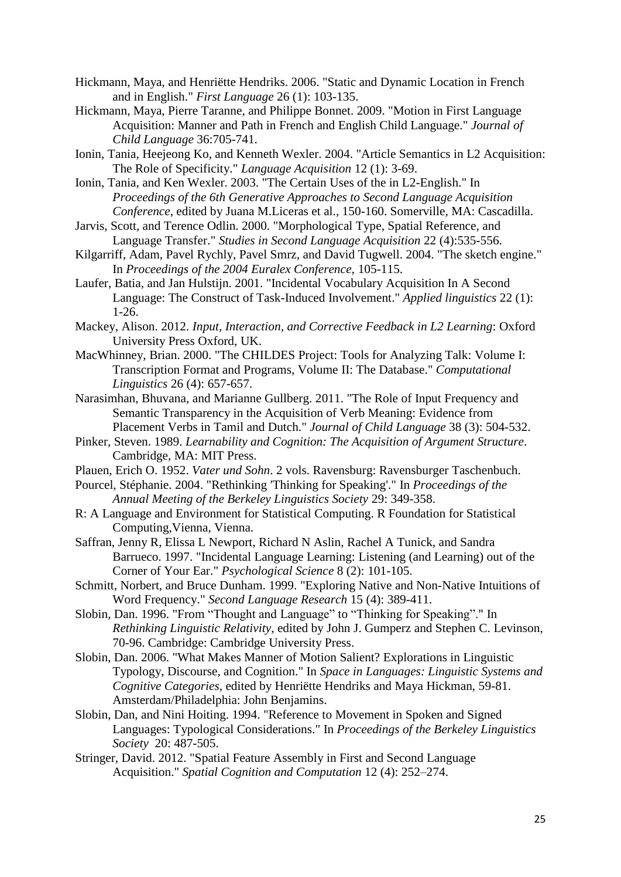- Hickmann, Maya, and Henriëtte Hendriks. 2006. "Static and Dynamic Location in French and in English." *First Language* 26 (1): 103-135.
- Hickmann, Maya, Pierre Taranne, and Philippe Bonnet. 2009. "Motion in First Language Acquisition: Manner and Path in French and English Child Language." *Journal of Child Language* 36:705-741.
- Ionin, Tania, Heejeong Ko, and Kenneth Wexler. 2004. "Article Semantics in L2 Acquisition: The Role of Specificity." *Language Acquisition* 12 (1): 3-69.
- Ionin, Tania, and Ken Wexler. 2003. "The Certain Uses of the in L2-English." In *Proceedings of the 6th Generative Approaches to Second Language Acquisition Conference*, edited by Juana M.Liceras et al., 150-160. Somerville, MA: Cascadilla.
- Jarvis, Scott, and Terence Odlin. 2000. "Morphological Type, Spatial Reference, and Language Transfer." *Studies in Second Language Acquisition* 22 (4):535-556.
- Kilgarriff, Adam, Pavel Rychly, Pavel Smrz, and David Tugwell. 2004. "The sketch engine." In *Proceedings of the 2004 Euralex Conference,* 105-115.
- Laufer, Batia, and Jan Hulstijn. 2001. "Incidental Vocabulary Acquisition In A Second Language: The Construct of Task-Induced Involvement." *Applied linguistics* 22 (1): 1-26.
- Mackey, Alison. 2012. *Input, Interaction, and Corrective Feedback in L2 Learning*: Oxford University Press Oxford, UK.
- MacWhinney, Brian. 2000. "The CHILDES Project: Tools for Analyzing Talk: Volume I: Transcription Format and Programs, Volume II: The Database." *Computational Linguistics* 26 (4): 657-657.
- Narasimhan, Bhuvana, and Marianne Gullberg. 2011. "The Role of Input Frequency and Semantic Transparency in the Acquisition of Verb Meaning: Evidence from Placement Verbs in Tamil and Dutch." *Journal of Child Language* 38 (3): 504-532.
- Pinker, Steven. 1989. *Learnability and Cognition: The Acquisition of Argument Structure*. Cambridge, MA: MIT Press.
- Plauen, Erich O. 1952. *Vater und Sohn*. 2 vols. Ravensburg: Ravensburger Taschenbuch.
- Pourcel, Stéphanie. 2004. "Rethinking 'Thinking for Speaking'." In *Proceedings of the Annual Meeting of the Berkeley Linguistics Society* 29: 349-358.
- R: A Language and Environment for Statistical Computing. R Foundation for Statistical Computing,Vienna, Vienna.
- Saffran, Jenny R, Elissa L Newport, Richard N Aslin, Rachel A Tunick, and Sandra Barrueco. 1997. "Incidental Language Learning: Listening (and Learning) out of the Corner of Your Ear." *Psychological Science* 8 (2): 101-105.
- Schmitt, Norbert, and Bruce Dunham. 1999. "Exploring Native and Non-Native Intuitions of Word Frequency." *Second Language Research* 15 (4): 389-411.
- Slobin, Dan. 1996. "From "Thought and Language" to "Thinking for Speaking"." In *Rethinking Linguistic Relativity*, edited by John J. Gumperz and Stephen C. Levinson, 70-96. Cambridge: Cambridge University Press.
- Slobin, Dan. 2006. "What Makes Manner of Motion Salient? Explorations in Linguistic Typology, Discourse, and Cognition." In *Space in Languages: Linguistic Systems and Cognitive Categories*, edited by Henriëtte Hendriks and Maya Hickman, 59-81. Amsterdam/Philadelphia: John Benjamins.
- Slobin, Dan, and Nini Hoiting. 1994. "Reference to Movement in Spoken and Signed Languages: Typological Considerations." In *Proceedings of the Berkeley Linguistics Society* 20: 487-505.
- Stringer, David. 2012. "Spatial Feature Assembly in First and Second Language Acquisition." *Spatial Cognition and Computation* 12 (4): 252–274.